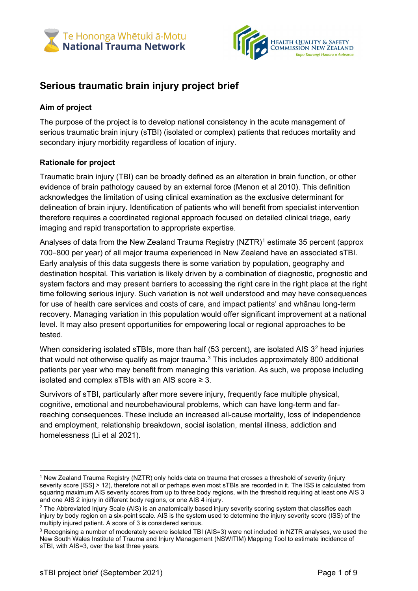



# **Serious traumatic brain injury project brief**

# **Aim of project**

The purpose of the project is to develop national consistency in the acute management of serious traumatic brain injury (sTBI) (isolated or complex) patients that reduces mortality and secondary injury morbidity regardless of location of injury.

# **Rationale for project**

Traumatic brain injury (TBI) can be broadly defined as an alteration in brain function, or other evidence of brain pathology caused by an external force (Menon et al 2010). This definition acknowledges the limitation of using clinical examination as the exclusive determinant for delineation of brain injury. Identification of patients who will benefit from specialist intervention therefore requires a coordinated regional approach focused on detailed clinical triage, early imaging and rapid transportation to appropriate expertise.

Analyses of data from the New Zealand Trauma Registry (NZTR)<sup>[1](#page-0-0)</sup> estimate 35 percent (approx 700–800 per year) of all major trauma experienced in New Zealand have an associated sTBI. Early analysis of this data suggests there is some variation by population, geography and destination hospital. This variation is likely driven by a combination of diagnostic, prognostic and system factors and may present barriers to accessing the right care in the right place at the right time following serious injury. Such variation is not well understood and may have consequences for use of health care services and costs of care, and impact patients' and whānau long-term recovery. Managing variation in this population would offer significant improvement at a national level. It may also present opportunities for empowering local or regional approaches to be tested.

When considering isolated sTBIs, more than half (53 percent), are isolated AIS 3<sup>[2](#page-0-1)</sup> head injuries that would not otherwise qualify as major trauma. [3](#page-0-2) This includes approximately 800 additional patients per year who may benefit from managing this variation. As such, we propose including isolated and complex sTBIs with an AIS score  $\geq$  3.

Survivors of sTBI, particularly after more severe injury, frequently face multiple physical, cognitive, emotional and neurobehavioural problems, which can have long-term and farreaching consequences.These include an increased all-cause mortality, loss of independence and employment, relationship breakdown, social isolation, mental illness, addiction and homelessness (Li et al 2021).

<span id="page-0-0"></span><sup>1</sup> New Zealand Trauma Registry (NZTR) only holds data on trauma that crosses a threshold of severity (injury severity score [ISS] > 12), therefore not all or perhaps even most sTBIs are recorded in it. The ISS is calculated from squaring maximum AIS severity scores from up to three body regions, with the threshold requiring at least one AIS 3 and one AIS 2 injury in different body regions, or one AIS 4 injury.

<span id="page-0-1"></span><sup>&</sup>lt;sup>2</sup> The Abbreviated Injury Scale (AIS) is an anatomically based injury severity scoring system that classifies each injury by body region on a six-point scale. AIS is the system used to determine the injury severity score (ISS) of the multiply injured patient. A score of 3 is considered serious.

<span id="page-0-2"></span><sup>3</sup> Recognising a number of moderately severe isolated TBI (AIS=3) were not included in NZTR analyses, we used the New South Wales Institute of Trauma and Injury Management (NSWITIM) Mapping Tool to estimate incidence of sTBI, with AIS=3, over the last three years.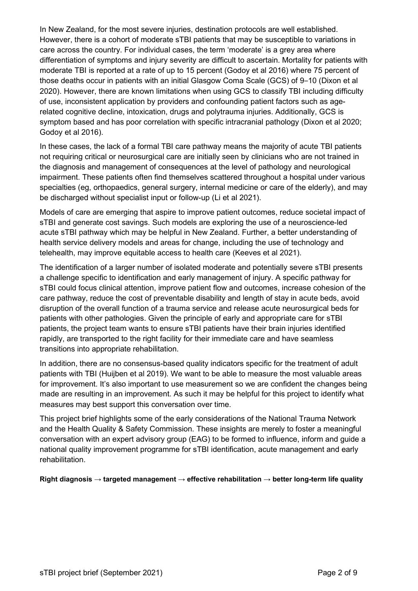In New Zealand, for the most severe injuries, destination protocols are well established. However, there is a cohort of moderate sTBI patients that may be susceptible to variations in care across the country. For individual cases, the term 'moderate' is a grey area where differentiation of symptoms and injury severity are difficult to ascertain. Mortality for patients with moderate TBI is reported at a rate of up to 15 percent (Godoy et al 2016) where 75 percent of those deaths occur in patients with an initial Glasgow Coma Scale (GCS) of 9–10 (Dixon et al 2020). However, there are known limitations when using GCS to classify TBI including difficulty of use, inconsistent application by providers and confounding patient factors such as agerelated cognitive decline, intoxication, drugs and polytrauma injuries. Additionally, GCS is symptom based and has poor correlation with specific intracranial pathology (Dixon et al 2020; Godoy et al 2016).

In these cases, the lack of a formal TBI care pathway means the majority of acute TBI patients not requiring critical or neurosurgical care are initially seen by clinicians who are not trained in the diagnosis and management of consequences at the level of pathology and neurological impairment. These patients often find themselves scattered throughout a hospital under various specialties (eg, orthopaedics, general surgery, internal medicine or care of the elderly), and may be discharged without specialist input or follow-up (Li et al 2021).

Models of care are emerging that aspire to improve patient outcomes, reduce societal impact of sTBI and generate cost savings. Such models are exploring the use of a neuroscience-led acute sTBI pathway which may be helpful in New Zealand. Further, a better understanding of health service delivery models and areas for change, including the use of technology and telehealth, may improve equitable access to health care (Keeves et al 2021).

The identification of a larger number of isolated moderate and potentially severe sTBI presents a challenge specific to identification and early management of injury. A specific pathway for sTBI could focus clinical attention, improve patient flow and outcomes, increase cohesion of the care pathway, reduce the cost of preventable disability and length of stay in acute beds, avoid disruption of the overall function of a trauma service and release acute neurosurgical beds for patients with other pathologies. Given the principle of early and appropriate care for sTBI patients, the project team wants to ensure sTBI patients have their brain injuries identified rapidly, are transported to the right facility for their immediate care and have seamless transitions into appropriate rehabilitation.

In addition, there are no consensus-based quality indicators specific for the treatment of adult patients with TBI (Huijben et al 2019). We want to be able to measure the most valuable areas for improvement. It's also important to use measurement so we are confident the changes being made are resulting in an improvement. As such it may be helpful for this project to identify what measures may best support this conversation over time.

This project brief highlights some of the early considerations of the National Trauma Network and the Health Quality & Safety Commission. These insights are merely to foster a meaningful conversation with an expert advisory group (EAG) to be formed to influence, inform and guide a national quality improvement programme for sTBI identification, acute management and early rehabilitation.

**Right diagnosis → targeted management → effective rehabilitation → better long-term life quality**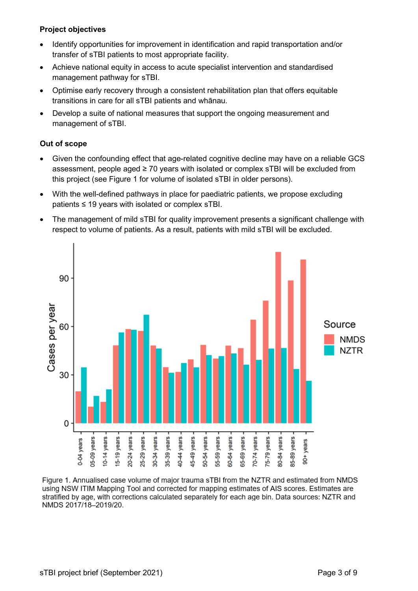# **Project objectives**

- Identify opportunities for improvement in identification and rapid transportation and/or transfer of sTBI patients to most appropriate facility.
- Achieve national equity in access to acute specialist intervention and standardised management pathway for sTBI.
- Optimise early recovery through a consistent rehabilitation plan that offers equitable transitions in care for all sTBI patients and whānau.
- Develop a suite of national measures that support the ongoing measurement and management of sTBI.

# **Out of scope**

- Given the confounding effect that age-related cognitive decline may have on a reliable GCS assessment, people aged  $\geq 70$  years with isolated or complex sTBI will be excluded from this project (see Figure 1 for volume of isolated sTBI in older persons).
- With the well-defined pathways in place for paediatric patients, we propose excluding patients ≤ 19 years with isolated or complex sTBI.
- The management of mild sTBI for quality improvement presents a significant challenge with respect to volume of patients. As a result, patients with mild sTBI will be excluded.



Figure 1. Annualised case volume of maior trauma sTBI from the NZTR and estimated from NMDS using NSW ITIM Mapping Tool and corrected for mapping estimates of AIS scores. Estimates are stratified by age, with corrections calculated separately for each age bin. Data sources: NZTR and NMDS 2017/18-2019/20.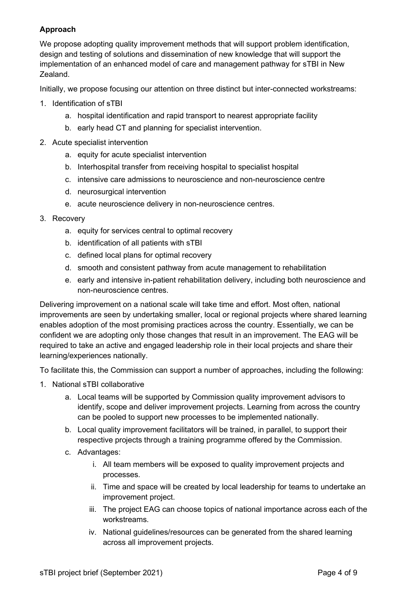# **Approach**

We propose adopting quality improvement methods that will support problem identification, design and testing of solutions and dissemination of new knowledge that will support the implementation of an enhanced model of care and management pathway for sTBI in New Zealand.

Initially, we propose focusing our attention on three distinct but inter-connected workstreams:

- 1. Identification of sTBI
	- a. hospital identification and rapid transport to nearest appropriate facility
	- b. early head CT and planning for specialist intervention.
- 2. Acute specialist intervention
	- a. equity for acute specialist intervention
	- b. Interhospital transfer from receiving hospital to specialist hospital
	- c. intensive care admissions to neuroscience and non-neuroscience centre
	- d. neurosurgical intervention
	- e. acute neuroscience delivery in non-neuroscience centres.
- 3. Recovery
	- a. equity for services central to optimal recovery
	- b. identification of all patients with sTBI
	- c. defined local plans for optimal recovery
	- d. smooth and consistent pathway from acute management to rehabilitation
	- e. early and intensive in-patient rehabilitation delivery, including both neuroscience and non-neuroscience centres.

Delivering improvement on a national scale will take time and effort. Most often, national improvements are seen by undertaking smaller, local or regional projects where shared learning enables adoption of the most promising practices across the country. Essentially, we can be confident we are adopting only those changes that result in an improvement. The EAG will be required to take an active and engaged leadership role in their local projects and share their learning/experiences nationally.

To facilitate this, the Commission can support a number of approaches, including the following:

- 1. National sTBI collaborative
	- a. Local teams will be supported by Commission quality improvement advisors to identify, scope and deliver improvement projects. Learning from across the country can be pooled to support new processes to be implemented nationally.
	- b. Local quality improvement facilitators will be trained, in parallel, to support their respective projects through a training programme offered by the Commission.
	- c. Advantages:
		- i. All team members will be exposed to quality improvement projects and processes.
		- ii. Time and space will be created by local leadership for teams to undertake an improvement project.
		- iii. The project EAG can choose topics of national importance across each of the workstreams.
		- iv. National guidelines/resources can be generated from the shared learning across all improvement projects.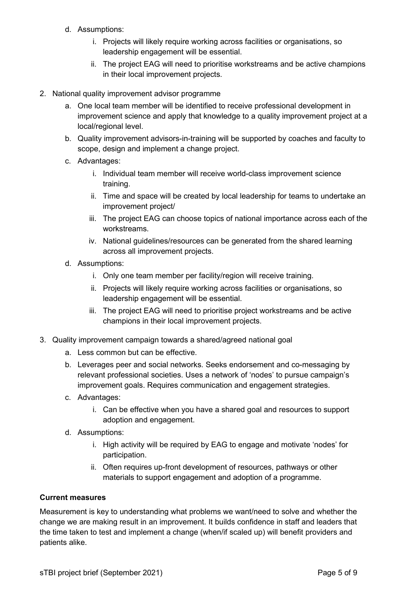- d. Assumptions:
	- i. Projects will likely require working across facilities or organisations, so leadership engagement will be essential.
	- ii. The project EAG will need to prioritise workstreams and be active champions in their local improvement projects.
- 2. National quality improvement advisor programme
	- a. One local team member will be identified to receive professional development in improvement science and apply that knowledge to a quality improvement project at a local/regional level.
	- b. Quality improvement advisors-in-training will be supported by coaches and faculty to scope, design and implement a change project.
	- c. Advantages:
		- i. Individual team member will receive world-class improvement science training.
		- ii. Time and space will be created by local leadership for teams to undertake an improvement project/
		- iii. The project EAG can choose topics of national importance across each of the workstreams.
		- iv. National guidelines/resources can be generated from the shared learning across all improvement projects.
	- d. Assumptions:
		- i. Only one team member per facility/region will receive training.
		- ii. Projects will likely require working across facilities or organisations, so leadership engagement will be essential.
		- iii. The project EAG will need to prioritise project workstreams and be active champions in their local improvement projects.
- 3. Quality improvement campaign towards a shared/agreed national goal
	- a. Less common but can be effective.
	- b. Leverages peer and social networks. Seeks endorsement and co-messaging by relevant professional societies. Uses a network of 'nodes' to pursue campaign's improvement goals. Requires communication and engagement strategies.
	- c. Advantages:
		- i. Can be effective when you have a shared goal and resources to support adoption and engagement.
	- d. Assumptions:
		- i. High activity will be required by EAG to engage and motivate 'nodes' for participation.
		- ii. Often requires up-front development of resources, pathways or other materials to support engagement and adoption of a programme.

#### **Current measures**

Measurement is key to understanding what problems we want/need to solve and whether the change we are making result in an improvement. It builds confidence in staff and leaders that the time taken to test and implement a change (when/if scaled up) will benefit providers and patients alike.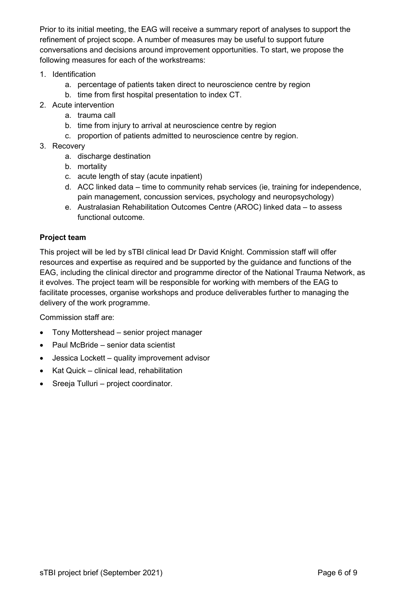Prior to its initial meeting, the EAG will receive a summary report of analyses to support the refinement of project scope. A number of measures may be useful to support future conversations and decisions around improvement opportunities. To start, we propose the following measures for each of the workstreams:

- 1. Identification
	- a. percentage of patients taken direct to neuroscience centre by region
	- b. time from first hospital presentation to index CT.
- 2. Acute intervention
	- a. trauma call
	- b. time from injury to arrival at neuroscience centre by region
	- c. proportion of patients admitted to neuroscience centre by region.
- 3. Recovery
	- a. discharge destination
	- b. mortality
	- c. acute length of stay (acute inpatient)
	- d. ACC linked data time to community rehab services (ie, training for independence, pain management, concussion services, psychology and neuropsychology)
	- e. Australasian Rehabilitation Outcomes Centre (AROC) linked data to assess functional outcome.

#### **Project team**

This project will be led by sTBI clinical lead Dr David Knight. Commission staff will offer resources and expertise as required and be supported by the guidance and functions of the EAG, including the clinical director and programme director of the National Trauma Network, as it evolves. The project team will be responsible for working with members of the EAG to facilitate processes, organise workshops and produce deliverables further to managing the delivery of the work programme.

Commission staff are:

- Tony Mottershead senior project manager
- Paul McBride senior data scientist
- Jessica Lockett quality improvement advisor
- Kat Quick clinical lead, rehabilitation
- Sreeja Tulluri project coordinator.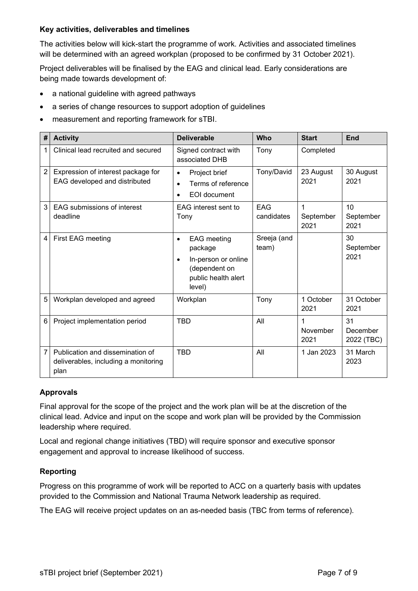#### **Key activities, deliverables and timelines**

The activities below will kick-start the programme of work. Activities and associated timelines will be determined with an agreed workplan (proposed to be confirmed by 31 October 2021).

Project deliverables will be finalised by the EAG and clinical lead. Early considerations are being made towards development of:

- a national guideline with agreed pathways
- a series of change resources to support adoption of guidelines
- measurement and reporting framework for sTBI.

| #              | <b>Activity</b>                                                                  | <b>Deliverable</b>                                                                                                               | Who                  | <b>Start</b>           | <b>End</b>                   |
|----------------|----------------------------------------------------------------------------------|----------------------------------------------------------------------------------------------------------------------------------|----------------------|------------------------|------------------------------|
| 1              | Clinical lead recruited and secured                                              | Signed contract with<br>associated DHB                                                                                           | Tony                 | Completed              |                              |
| $\overline{2}$ | Expression of interest package for<br>EAG developed and distributed              | Project brief<br>$\bullet$<br>Terms of reference<br>$\bullet$<br><b>EOI</b> document<br>$\bullet$                                | Tony/David           | 23 August<br>2021      | 30 August<br>2021            |
| 3              | EAG submissions of interest<br>deadline                                          | EAG interest sent to<br>Tony                                                                                                     | EAG<br>candidates    | 1<br>September<br>2021 | 10<br>September<br>2021      |
| 4              | First EAG meeting                                                                | <b>EAG</b> meeting<br>$\bullet$<br>package<br>In-person or online<br>$\bullet$<br>(dependent on<br>public health alert<br>level) | Sreeja (and<br>team) |                        | 30<br>September<br>2021      |
| 5              | Workplan developed and agreed                                                    | Workplan                                                                                                                         | Tony                 | 1 October<br>2021      | 31 October<br>2021           |
| 6              | Project implementation period                                                    | <b>TBD</b>                                                                                                                       | All                  | 1<br>November<br>2021  | 31<br>December<br>2022 (TBC) |
| $\overline{7}$ | Publication and dissemination of<br>deliverables, including a monitoring<br>plan | <b>TBD</b>                                                                                                                       | All                  | 1 Jan 2023             | 31 March<br>2023             |

## **Approvals**

Final approval for the scope of the project and the work plan will be at the discretion of the clinical lead. Advice and input on the scope and work plan will be provided by the Commission leadership where required.

Local and regional change initiatives (TBD) will require sponsor and executive sponsor engagement and approval to increase likelihood of success.

## **Reporting**

Progress on this programme of work will be reported to ACC on a quarterly basis with updates provided to the Commission and National Trauma Network leadership as required.

The EAG will receive project updates on an as-needed basis (TBC from terms of reference).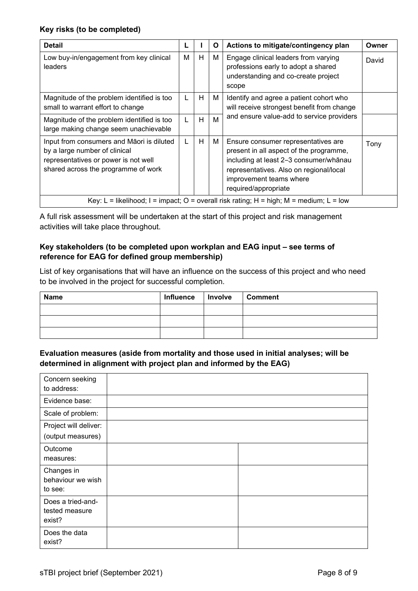## **Key risks (to be completed)**

| <b>Detail</b>                                                                                                                                             |   |   | O | Actions to mitigate/contingency plan                                                                                                                                                                                   | Owner |
|-----------------------------------------------------------------------------------------------------------------------------------------------------------|---|---|---|------------------------------------------------------------------------------------------------------------------------------------------------------------------------------------------------------------------------|-------|
| Low buy-in/engagement from key clinical<br>leaders                                                                                                        | м | H | М | Engage clinical leaders from varying<br>professions early to adopt a shared<br>understanding and co-create project<br>scope                                                                                            | David |
| Magnitude of the problem identified is too<br>small to warrant effort to change                                                                           |   | H | М | Identify and agree a patient cohort who<br>will receive strongest benefit from change                                                                                                                                  |       |
| Magnitude of the problem identified is too<br>large making change seem unachievable                                                                       |   | H | M | and ensure value-add to service providers                                                                                                                                                                              |       |
| Input from consumers and Māori is diluted<br>by a large number of clinical<br>representatives or power is not well<br>shared across the programme of work | L | H | М | Ensure consumer representatives are<br>present in all aspect of the programme,<br>including at least 2-3 consumer/whānau<br>representatives. Also on regional/local<br>improvement teams where<br>required/appropriate | Tony  |
| Key: L = likelihood; I = impact; O = overall risk rating; H = high; M = medium; L = low                                                                   |   |   |   |                                                                                                                                                                                                                        |       |

A full risk assessment will be undertaken at the start of this project and risk management activities will take place throughout.

#### **Key stakeholders (to be completed upon workplan and EAG input – see terms of reference for EAG for defined group membership)**

List of key organisations that will have an influence on the success of this project and who need to be involved in the project for successful completion.

| <b>Name</b> | Influence | Involve | <b>Comment</b> |
|-------------|-----------|---------|----------------|
|             |           |         |                |
|             |           |         |                |
|             |           |         |                |

## **Evaluation measures (aside from mortality and those used in initial analyses; will be determined in alignment with project plan and informed by the EAG)**

| Concern seeking<br>to address:                |  |  |  |
|-----------------------------------------------|--|--|--|
| Evidence base:                                |  |  |  |
| Scale of problem:                             |  |  |  |
| Project will deliver:                         |  |  |  |
| (output measures)                             |  |  |  |
| Outcome<br>measures:                          |  |  |  |
| Changes in<br>behaviour we wish<br>to see:    |  |  |  |
| Does a tried-and-<br>tested measure<br>exist? |  |  |  |
| Does the data<br>exist?                       |  |  |  |